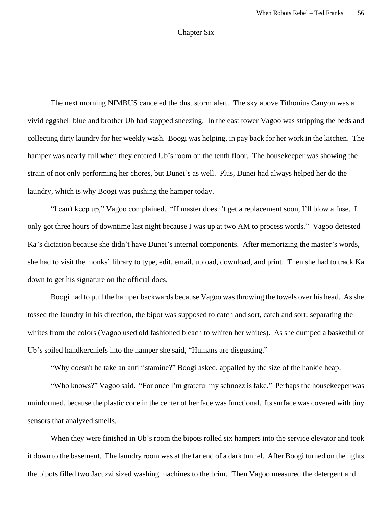## Chapter Six

The next morning NIMBUS canceled the dust storm alert. The sky above Tithonius Canyon was a vivid eggshell blue and brother Ub had stopped sneezing. In the east tower Vagoo was stripping the beds and collecting dirty laundry for her weekly wash. Boogi was helping, in pay back for her work in the kitchen. The hamper was nearly full when they entered Ub's room on the tenth floor. The housekeeper was showing the strain of not only performing her chores, but Dunei's as well. Plus, Dunei had always helped her do the laundry, which is why Boogi was pushing the hamper today.

"I can't keep up," Vagoo complained. "If master doesn't get a replacement soon, I'll blow a fuse. I only got three hours of downtime last night because I was up at two AM to process words." Vagoo detested Ka's dictation because she didn't have Dunei's internal components. After memorizing the master's words, she had to visit the monks' library to type, edit, email, upload, download, and print. Then she had to track Ka down to get his signature on the official docs.

Boogi had to pull the hamper backwards because Vagoo was throwing the towels over his head. As she tossed the laundry in his direction, the bipot was supposed to catch and sort, catch and sort; separating the whites from the colors (Vagoo used old fashioned bleach to whiten her whites). As she dumped a basketful of Ub's soiled handkerchiefs into the hamper she said, "Humans are disgusting."

"Why doesn't he take an antihistamine?" Boogi asked, appalled by the size of the hankie heap.

"Who knows?" Vagoo said. "For once I'm grateful my schnozz is fake." Perhaps the housekeeper was uninformed, because the plastic cone in the center of her face was functional. Its surface was covered with tiny sensors that analyzed smells.

When they were finished in Ub's room the bipots rolled six hampers into the service elevator and took it down to the basement. The laundry room was at the far end of a dark tunnel. After Boogi turned on the lights the bipots filled two Jacuzzi sized washing machines to the brim. Then Vagoo measured the detergent and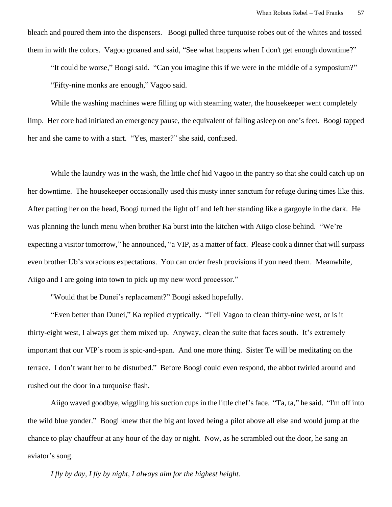bleach and poured them into the dispensers. Boogi pulled three turquoise robes out of the whites and tossed them in with the colors. Vagoo groaned and said, "See what happens when I don't get enough downtime?"

"It could be worse," Boogi said. "Can you imagine this if we were in the middle of a symposium?" "Fifty-nine monks are enough," Vagoo said.

While the washing machines were filling up with steaming water, the house keeper went completely limp. Her core had initiated an emergency pause, the equivalent of falling asleep on one's feet. Boogi tapped her and she came to with a start. "Yes, master?" she said, confused.

While the laundry was in the wash, the little chef hid Vagoo in the pantry so that she could catch up on her downtime. The housekeeper occasionally used this musty inner sanctum for refuge during times like this. After patting her on the head, Boogi turned the light off and left her standing like a gargoyle in the dark. He was planning the lunch menu when brother Ka burst into the kitchen with Aiigo close behind. "We're expecting a visitor tomorrow," he announced, "a VIP, as a matter of fact. Please cook a dinner that will surpass even brother Ub's voracious expectations. You can order fresh provisions if you need them. Meanwhile, Aiigo and I are going into town to pick up my new word processor."

"Would that be Dunei's replacement?" Boogi asked hopefully.

"Even better than Dunei," Ka replied cryptically. "Tell Vagoo to clean thirty-nine west, or is it thirty-eight west, I always get them mixed up. Anyway, clean the suite that faces south. It's extremely important that our VIP's room is spic-and-span. And one more thing. Sister Te will be meditating on the terrace. I don't want her to be disturbed." Before Boogi could even respond, the abbot twirled around and rushed out the door in a turquoise flash.

Aiigo waved goodbye, wiggling his suction cups in the little chef's face. "Ta, ta," he said. "I'm off into the wild blue yonder." Boogi knew that the big ant loved being a pilot above all else and would jump at the chance to play chauffeur at any hour of the day or night. Now, as he scrambled out the door, he sang an aviator's song.

*I fly by day, I fly by night, I always aim for the highest height.*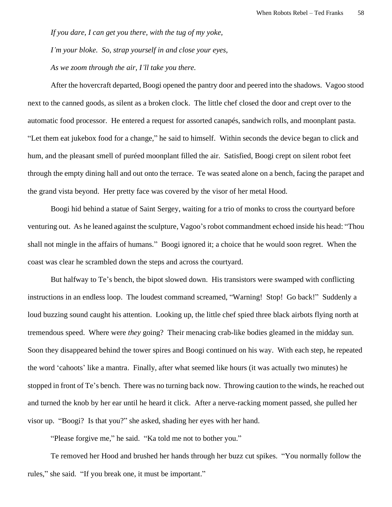*If you dare, I can get you there, with the tug of my yoke,*

*I'm your bloke. So, strap yourself in and close your eyes,*

*As we zoom through the air, I'll take you there.*

After the hovercraft departed, Boogi opened the pantry door and peered into the shadows. Vagoo stood next to the canned goods, as silent as a broken clock. The little chef closed the door and crept over to the automatic food processor. He entered a request for assorted canapés, sandwich rolls, and moonplant pasta. "Let them eat jukebox food for a change," he said to himself. Within seconds the device began to click and hum, and the pleasant smell of puréed moonplant filled the air. Satisfied, Boogi crept on silent robot feet through the empty dining hall and out onto the terrace. Te was seated alone on a bench, facing the parapet and the grand vista beyond. Her pretty face was covered by the visor of her metal Hood.

Boogi hid behind a statue of Saint Sergey, waiting for a trio of monks to cross the courtyard before venturing out. As he leaned against the sculpture, Vagoo'srobot commandment echoed inside his head: "Thou shall not mingle in the affairs of humans." Boogi ignored it; a choice that he would soon regret. When the coast was clear he scrambled down the steps and across the courtyard.

But halfway to Te's bench, the bipot slowed down. His transistors were swamped with conflicting instructions in an endless loop. The loudest command screamed, "Warning! Stop! Go back!" Suddenly a loud buzzing sound caught his attention. Looking up, the little chef spied three black airbots flying north at tremendous speed. Where were *they* going? Their menacing crab-like bodies gleamed in the midday sun. Soon they disappeared behind the tower spires and Boogi continued on his way. With each step, he repeated the word 'cahoots' like a mantra. Finally, after what seemed like hours (it was actually two minutes) he stopped in front of Te's bench. There was no turning back now. Throwing caution to the winds, he reached out and turned the knob by her ear until he heard it click. After a nerve-racking moment passed, she pulled her visor up. "Boogi? Is that you?" she asked, shading her eyes with her hand.

"Please forgive me," he said. "Ka told me not to bother you."

Te removed her Hood and brushed her hands through her buzz cut spikes. "You normally follow the rules," she said. "If you break one, it must be important."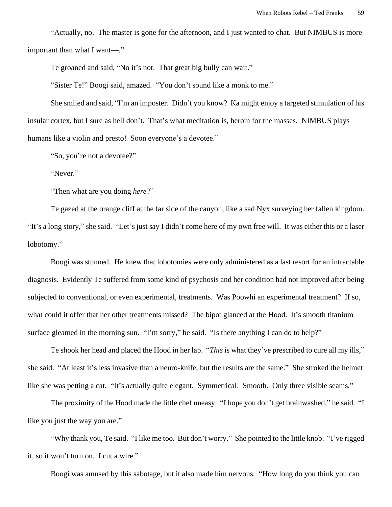"Actually, no. The master is gone for the afternoon, and I just wanted to chat. But NIMBUS is more important than what I want—."

Te groaned and said, "No it's not. That great big bully can wait."

"Sister Te!" Boogi said, amazed. "You don't sound like a monk to me."

She smiled and said, "I'm an imposter. Didn't you know? Ka might enjoy a targeted stimulation of his insular cortex, but I sure as hell don't. That's what meditation is, heroin for the masses. NIMBUS plays humans like a violin and presto! Soon everyone's a devotee."

"So, you're not a devotee?"

"Never."

"Then what are you doing *here*?"

Te gazed at the orange cliff at the far side of the canyon, like a sad Nyx surveying her fallen kingdom. "It's a long story," she said. "Let's just say I didn't come here of my own free will. It was either this or a laser lobotomy."

Boogi was stunned. He knew that lobotomies were only administered as a last resort for an intractable diagnosis. Evidently Te suffered from some kind of psychosis and her condition had not improved after being subjected to conventional, or even experimental, treatments. Was Poowhi an experimental treatment? If so, what could it offer that her other treatments missed? The bipot glanced at the Hood. It's smooth titanium surface gleamed in the morning sun. "I'm sorry," he said. "Is there anything I can do to help?"

Te shook her head and placed the Hood in her lap. "*This* is what they've prescribed to cure all my ills," she said. "At least it's less invasive than a neuro-knife, but the results are the same." She stroked the helmet like she was petting a cat. "It's actually quite elegant. Symmetrical. Smooth. Only three visible seams."

The proximity of the Hood made the little chef uneasy. "I hope you don't get brainwashed," he said. "I like you just the way you are."

"Why thank you, Te said. "I like me too. But don't worry." She pointed to the little knob. "I've rigged it, so it won't turn on. I cut a wire."

Boogi was amused by this sabotage, but it also made him nervous. "How long do you think you can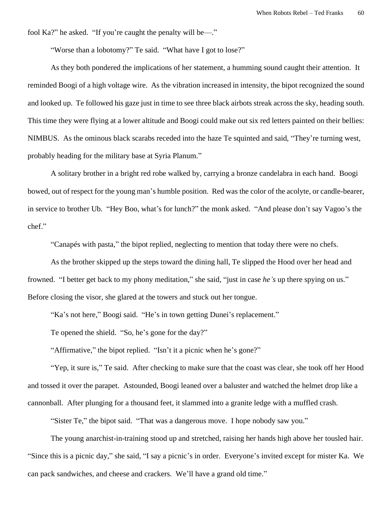fool Ka?" he asked. "If you're caught the penalty will be—."

"Worse than a lobotomy?" Te said. "What have I got to lose?"

As they both pondered the implications of her statement, a humming sound caught their attention. It reminded Boogi of a high voltage wire. As the vibration increased in intensity, the bipot recognized the sound and looked up. Te followed his gaze just in time to see three black airbots streak across the sky, heading south. This time they were flying at a lower altitude and Boogi could make out six red letters painted on their bellies: NIMBUS. As the ominous black scarabs receded into the haze Te squinted and said, "They're turning west, probably heading for the military base at Syria Planum."

A solitary brother in a bright red robe walked by, carrying a bronze candelabra in each hand. Boogi bowed, out of respect for the young man's humble position. Red was the color of the acolyte, or candle-bearer, in service to brother Ub. "Hey Boo, what's for lunch?" the monk asked. "And please don't say Vagoo's the chef."

"Canapés with pasta," the bipot replied, neglecting to mention that today there were no chefs.

As the brother skipped up the steps toward the dining hall, Te slipped the Hood over her head and frowned. "I better get back to my phony meditation," she said, "just in case *he's* up there spying on us." Before closing the visor, she glared at the towers and stuck out her tongue.

"Ka's not here," Boogi said. "He's in town getting Dunei's replacement."

Te opened the shield. "So, he's gone for the day?"

"Affirmative," the bipot replied. "Isn't it a picnic when he's gone?"

"Yep, it sure is," Te said. After checking to make sure that the coast was clear, she took off her Hood and tossed it over the parapet. Astounded, Boogi leaned over a baluster and watched the helmet drop like a cannonball. After plunging for a thousand feet, it slammed into a granite ledge with a muffled crash.

"Sister Te," the bipot said. "That was a dangerous move. I hope nobody saw you."

The young anarchist-in-training stood up and stretched, raising her hands high above her tousled hair. "Since this is a picnic day," she said, "I say a picnic's in order. Everyone's invited except for mister Ka. We can pack sandwiches, and cheese and crackers. We'll have a grand old time."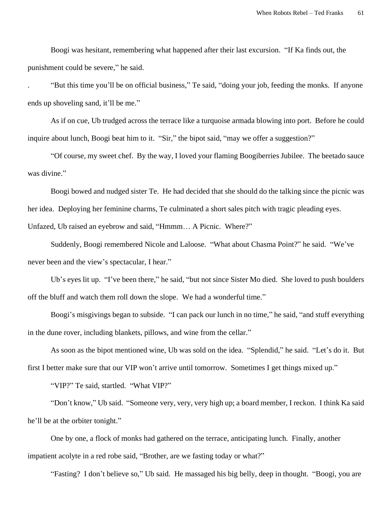Boogi was hesitant, remembering what happened after their last excursion. "If Ka finds out, the punishment could be severe," he said.

. "But this time you'll be on official business," Te said, "doing your job, feeding the monks. If anyone ends up shoveling sand, it'll be me."

As if on cue, Ub trudged across the terrace like a turquoise armada blowing into port. Before he could inquire about lunch, Boogi beat him to it. "Sir," the bipot said, "may we offer a suggestion?"

"Of course, my sweet chef. By the way, I loved your flaming Boogiberries Jubilee. The beetado sauce was divine."

Boogi bowed and nudged sister Te. He had decided that she should do the talking since the picnic was her idea. Deploying her feminine charms, Te culminated a short sales pitch with tragic pleading eyes. Unfazed, Ub raised an eyebrow and said, "Hmmm… A Picnic. Where?"

Suddenly, Boogi remembered Nicole and Laloose. "What about Chasma Point?" he said. "We've never been and the view's spectacular, I hear."

Ub's eyes lit up. "I've been there," he said, "but not since Sister Mo died. She loved to push boulders off the bluff and watch them roll down the slope. We had a wonderful time."

Boogi's misgivings began to subside. "I can pack our lunch in no time," he said, "and stuff everything in the dune rover, including blankets, pillows, and wine from the cellar."

As soon as the bipot mentioned wine, Ub was sold on the idea. "Splendid," he said. "Let's do it. But first I better make sure that our VIP won't arrive until tomorrow. Sometimes I get things mixed up."

"VIP?" Te said, startled. "What VIP?"

"Don't know," Ub said. "Someone very, very, very high up; a board member, I reckon. I think Ka said he'll be at the orbiter tonight."

One by one, a flock of monks had gathered on the terrace, anticipating lunch. Finally, another impatient acolyte in a red robe said, "Brother, are we fasting today or what?"

"Fasting? I don't believe so," Ub said. He massaged his big belly, deep in thought. "Boogi, you are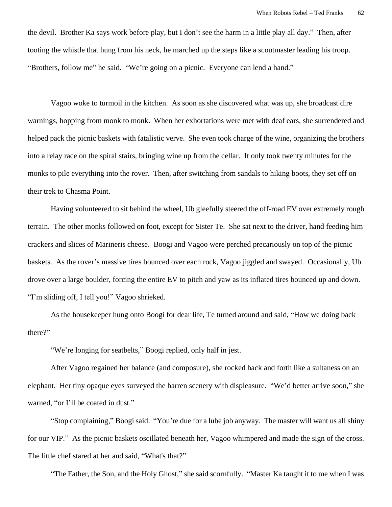the devil. Brother Ka says work before play, but I don't see the harm in a little play all day." Then, after tooting the whistle that hung from his neck, he marched up the steps like a scoutmaster leading his troop. "Brothers, follow me" he said. "We're going on a picnic. Everyone can lend a hand."

Vagoo woke to turmoil in the kitchen. As soon as she discovered what was up, she broadcast dire warnings, hopping from monk to monk. When her exhortations were met with deaf ears, she surrendered and helped pack the picnic baskets with fatalistic verve. She even took charge of the wine, organizing the brothers into a relay race on the spiral stairs, bringing wine up from the cellar. It only took twenty minutes for the monks to pile everything into the rover. Then, after switching from sandals to hiking boots, they set off on their trek to Chasma Point.

Having volunteered to sit behind the wheel, Ub gleefully steered the off-road EV over extremely rough terrain. The other monks followed on foot, except for Sister Te. She sat next to the driver, hand feeding him crackers and slices of Marineris cheese. Boogi and Vagoo were perched precariously on top of the picnic baskets. As the rover's massive tires bounced over each rock, Vagoo jiggled and swayed. Occasionally, Ub drove over a large boulder, forcing the entire EV to pitch and yaw as its inflated tires bounced up and down. "I'm sliding off, I tell you!" Vagoo shrieked.

As the housekeeper hung onto Boogi for dear life, Te turned around and said, "How we doing back there?"

"We're longing for seatbelts," Boogi replied, only half in jest.

After Vagoo regained her balance (and composure), she rocked back and forth like a sultaness on an elephant. Her tiny opaque eyes surveyed the barren scenery with displeasure. "We'd better arrive soon," she warned, "or I'll be coated in dust."

"Stop complaining," Boogi said. "You're due for a lube job anyway. The master will want us all shiny for our VIP." As the picnic baskets oscillated beneath her, Vagoo whimpered and made the sign of the cross. The little chef stared at her and said, "What's that?"

"The Father, the Son, and the Holy Ghost," she said scornfully. "Master Ka taught it to me when I was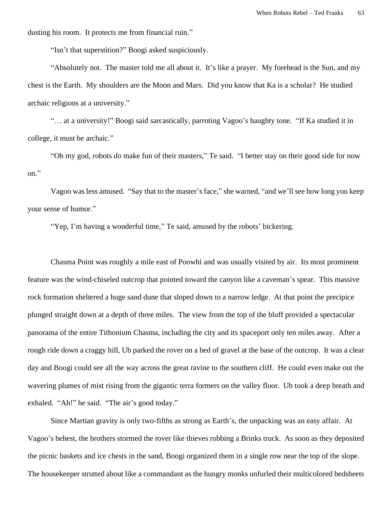dusting his room. It protects me from financial ruin."

"Isn't that superstition?" Boogi asked suspiciously.

"Absolutely not. The master told me all about it. It's like a prayer. My forehead is the Sun, and my chest is the Earth. My shoulders are the Moon and Mars. Did you know that Ka is a scholar? He studied archaic religions at a university."

"… at a university!" Boogi said sarcastically, parroting Vagoo's haughty tone. "If Ka studied it in college, it must be archaic."

"Oh my god, robots *do* make fun of their masters," Te said. "I better stay on their good side for now on."

Vagoo was less amused. "Say that to the master's face," she warned, "and we'll see how long you keep your sense of humor."

"Yep, I'm having a wonderful time," Te said, amused by the robots' bickering.

Chasma Point was roughly a mile east of Poowhi and was usually visited by air. Its most prominent feature was the wind-chiseled outcrop that pointed toward the canyon like a caveman's spear. This massive rock formation sheltered a huge sand dune that sloped down to a narrow ledge. At that point the precipice plunged straight down at a depth of three miles. The view from the top of the bluff provided a spectacular panorama of the entire Tithonium Chasma, including the city and its spaceport only ten miles away. After a rough ride down a craggy hill, Ub parked the rover on a bed of gravel at the base of the outcrop. It was a clear day and Boogi could see all the way across the great ravine to the southern cliff. He could even make out the wavering plumes of mist rising from the gigantic terra formers on the valley floor. Ub took a deep breath and exhaled. "Ah!" he said. "The air's good today."

Since Martian gravity is only two-fifths as strong as Earth's, the unpacking was an easy affair. At Vagoo's behest, the brothers stormed the rover like thieves robbing a Brinks truck. As soon as they deposited the picnic baskets and ice chests in the sand, Boogi organized them in a single row near the top of the slope. The housekeeper strutted about like a commandant as the hungry monks unfurled their multicolored bedsheets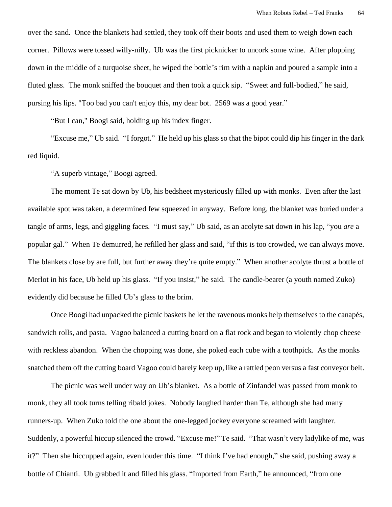over the sand. Once the blankets had settled, they took off their boots and used them to weigh down each corner. Pillows were tossed willy-nilly. Ub was the first picknicker to uncork some wine. After plopping down in the middle of a turquoise sheet, he wiped the bottle's rim with a napkin and poured a sample into a fluted glass. The monk sniffed the bouquet and then took a quick sip. "Sweet and full-bodied," he said, pursing his lips. "Too bad you can't enjoy this, my dear bot. 2569 was a good year."

"But I can," Boogi said, holding up his index finger.

"Excuse me," Ub said. "I forgot." He held up his glass so that the bipot could dip his finger in the dark red liquid.

"A superb vintage," Boogi agreed.

The moment Te sat down by Ub, his bedsheet mysteriously filled up with monks. Even after the last available spot was taken, a determined few squeezed in anyway. Before long, the blanket was buried under a tangle of arms, legs, and giggling faces. "I must say," Ub said, as an acolyte sat down in his lap, "you *are* a popular gal." When Te demurred, he refilled her glass and said, "if this is too crowded, we can always move. The blankets close by are full, but further away they're quite empty." When another acolyte thrust a bottle of Merlot in his face, Ub held up his glass. "If you insist," he said. The candle-bearer (a youth named Zuko) evidently did because he filled Ub's glass to the brim.

Once Boogi had unpacked the picnic baskets he let the ravenous monks help themselves to the canapés, sandwich rolls, and pasta. Vagoo balanced a cutting board on a flat rock and began to violently chop cheese with reckless abandon. When the chopping was done, she poked each cube with a toothpick. As the monks snatched them off the cutting board Vagoo could barely keep up, like a rattled peon versus a fast conveyor belt.

The picnic was well under way on Ub's blanket. As a bottle of Zinfandel was passed from monk to monk, they all took turns telling ribald jokes. Nobody laughed harder than Te, although she had many runners-up. When Zuko told the one about the one-legged jockey everyone screamed with laughter. Suddenly, a powerful hiccup silenced the crowd. "Excuse me!" Te said. "That wasn't very ladylike of me, was it?" Then she hiccupped again, even louder this time. "I think I've had enough," she said, pushing away a bottle of Chianti. Ub grabbed it and filled his glass. "Imported from Earth," he announced, "from one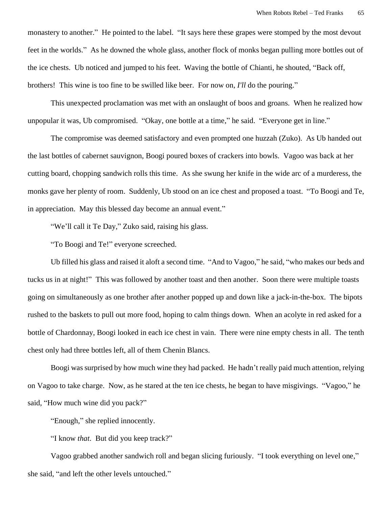monastery to another." He pointed to the label. "It says here these grapes were stomped by the most devout feet in the worlds." As he downed the whole glass, another flock of monks began pulling more bottles out of the ice chests. Ub noticed and jumped to his feet. Waving the bottle of Chianti, he shouted, "Back off, brothers! This wine is too fine to be swilled like beer. For now on, *I'll* do the pouring."

This unexpected proclamation was met with an onslaught of boos and groans. When he realized how unpopular it was, Ub compromised. "Okay, one bottle at a time," he said. "Everyone get in line."

The compromise was deemed satisfactory and even prompted one huzzah (Zuko). As Ub handed out the last bottles of cabernet sauvignon, Boogi poured boxes of crackers into bowls. Vagoo was back at her cutting board, chopping sandwich rolls this time. As she swung her knife in the wide arc of a murderess, the monks gave her plenty of room. Suddenly, Ub stood on an ice chest and proposed a toast. "To Boogi and Te, in appreciation. May this blessed day become an annual event."

"We'll call it Te Day," Zuko said, raising his glass.

"To Boogi and Te!" everyone screeched.

Ub filled his glass and raised it aloft a second time. "And to Vagoo," he said, "who makes our beds and tucks us in at night!" This was followed by another toast and then another. Soon there were multiple toasts going on simultaneously as one brother after another popped up and down like a jack-in-the-box. The bipots rushed to the baskets to pull out more food, hoping to calm things down. When an acolyte in red asked for a bottle of Chardonnay, Boogi looked in each ice chest in vain. There were nine empty chests in all. The tenth chest only had three bottles left, all of them Chenin Blancs.

Boogi was surprised by how much wine they had packed. He hadn't really paid much attention, relying on Vagoo to take charge. Now, as he stared at the ten ice chests, he began to have misgivings. "Vagoo," he said, "How much wine did you pack?"

"Enough," she replied innocently.

"I know *that*. But did you keep track?"

Vagoo grabbed another sandwich roll and began slicing furiously. "I took everything on level one," she said, "and left the other levels untouched."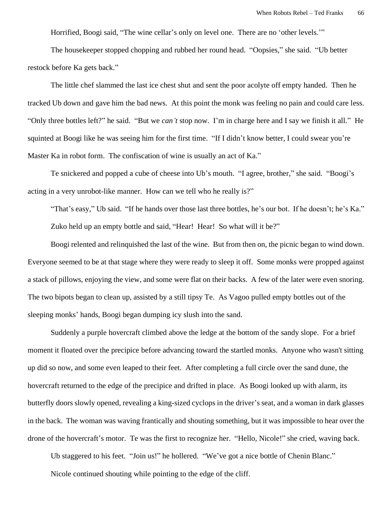Horrified, Boogi said, "The wine cellar's only on level one. There are no 'other levels.'"

The housekeeper stopped chopping and rubbed her round head. "Oopsies," she said. "Ub better restock before Ka gets back."

The little chef slammed the last ice chest shut and sent the poor acolyte off empty handed. Then he tracked Ub down and gave him the bad news. At this point the monk was feeling no pain and could care less. "Only three bottles left?" he said. "But we *can't* stop now. I'm in charge here and I say we finish it all." He squinted at Boogi like he was seeing him for the first time. "If I didn't know better, I could swear you're Master Ka in robot form. The confiscation of wine is usually an act of Ka."

Te snickered and popped a cube of cheese into Ub's mouth. "I agree, brother," she said. "Boogi's acting in a very unrobot-like manner. How can we tell who he really is?"

"That's easy," Ub said. "If he hands over those last three bottles, he's our bot. If he doesn't; he's Ka." Zuko held up an empty bottle and said, "Hear! Hear! So what will it be?"

Boogi relented and relinquished the last of the wine. But from then on, the picnic began to wind down. Everyone seemed to be at that stage where they were ready to sleep it off. Some monks were propped against a stack of pillows, enjoying the view, and some were flat on their backs. A few of the later were even snoring. The two bipots began to clean up, assisted by a still tipsy Te. As Vagoo pulled empty bottles out of the sleeping monks' hands, Boogi began dumping icy slush into the sand.

Suddenly a purple hovercraft climbed above the ledge at the bottom of the sandy slope. For a brief moment it floated over the precipice before advancing toward the startled monks. Anyone who wasn't sitting up did so now, and some even leaped to their feet. After completing a full circle over the sand dune, the hovercraft returned to the edge of the precipice and drifted in place. As Boogi looked up with alarm, its butterfly doors slowly opened, revealing a king-sized cyclops in the driver's seat, and a woman in dark glasses in the back. The woman was waving frantically and shouting something, but it was impossible to hear over the drone of the hovercraft's motor. Te was the first to recognize her. "Hello, Nicole!" she cried, waving back.

Ub staggered to his feet. "Join us!" he hollered. "We've got a nice bottle of Chenin Blanc."

Nicole continued shouting while pointing to the edge of the cliff.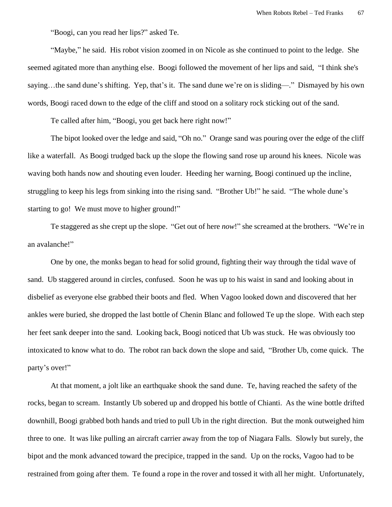"Boogi, can you read her lips?" asked Te.

"Maybe," he said. His robot vision zoomed in on Nicole as she continued to point to the ledge. She seemed agitated more than anything else. Boogi followed the movement of her lips and said, "I think she's saying…the sand dune's shifting. Yep, that's it. The sand dune we're on is sliding—." Dismayed by his own words, Boogi raced down to the edge of the cliff and stood on a solitary rock sticking out of the sand.

Te called after him, "Boogi, you get back here right now!"

The bipot looked over the ledge and said, "Oh no." Orange sand was pouring over the edge of the cliff like a waterfall. As Boogi trudged back up the slope the flowing sand rose up around his knees. Nicole was waving both hands now and shouting even louder. Heeding her warning, Boogi continued up the incline, struggling to keep his legs from sinking into the rising sand. "Brother Ub!" he said. "The whole dune's starting to go! We must move to higher ground!"

Te staggered as she crept up the slope. "Get out of here *now*!" she screamed at the brothers. "We're in an avalanche!"

One by one, the monks began to head for solid ground, fighting their way through the tidal wave of sand. Ub staggered around in circles, confused. Soon he was up to his waist in sand and looking about in disbelief as everyone else grabbed their boots and fled. When Vagoo looked down and discovered that her ankles were buried, she dropped the last bottle of Chenin Blanc and followed Te up the slope. With each step her feet sank deeper into the sand. Looking back, Boogi noticed that Ub was stuck. He was obviously too intoxicated to know what to do. The robot ran back down the slope and said, "Brother Ub, come quick. The party's over!"

At that moment, a jolt like an earthquake shook the sand dune. Te, having reached the safety of the rocks, began to scream. Instantly Ub sobered up and dropped his bottle of Chianti. As the wine bottle drifted downhill, Boogi grabbed both hands and tried to pull Ub in the right direction. But the monk outweighed him three to one. It was like pulling an aircraft carrier away from the top of Niagara Falls. Slowly but surely, the bipot and the monk advanced toward the precipice, trapped in the sand. Up on the rocks, Vagoo had to be restrained from going after them. Te found a rope in the rover and tossed it with all her might. Unfortunately,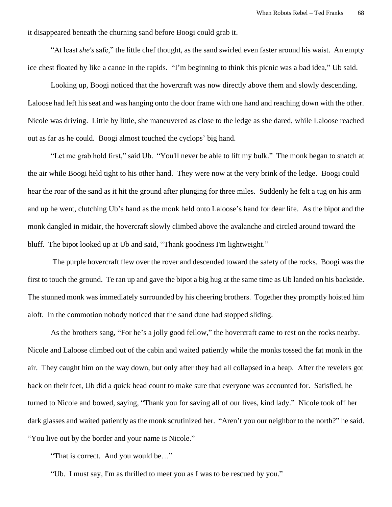it disappeared beneath the churning sand before Boogi could grab it.

"At least *she's* safe," the little chef thought, as the sand swirled even faster around his waist. An empty ice chest floated by like a canoe in the rapids. "I'm beginning to think this picnic was a bad idea," Ub said.

Looking up, Boogi noticed that the hovercraft was now directly above them and slowly descending. Laloose had left his seat and was hanging onto the door frame with one hand and reaching down with the other. Nicole was driving. Little by little, she maneuvered as close to the ledge as she dared, while Laloose reached out as far as he could. Boogi almost touched the cyclops' big hand.

"Let me grab hold first," said Ub. "You'll never be able to lift my bulk." The monk began to snatch at the air while Boogi held tight to his other hand. They were now at the very brink of the ledge. Boogi could hear the roar of the sand as it hit the ground after plunging for three miles. Suddenly he felt a tug on his arm and up he went, clutching Ub's hand as the monk held onto Laloose's hand for dear life. As the bipot and the monk dangled in midair, the hovercraft slowly climbed above the avalanche and circled around toward the bluff. The bipot looked up at Ub and said, "Thank goodness I'm lightweight."

The purple hovercraft flew over the rover and descended toward the safety of the rocks. Boogi was the first to touch the ground. Te ran up and gave the bipot a big hug at the same time as Ub landed on his backside. The stunned monk was immediately surrounded by his cheering brothers. Together they promptly hoisted him aloft. In the commotion nobody noticed that the sand dune had stopped sliding.

As the brothers sang, "For he's a jolly good fellow," the hovercraft came to rest on the rocks nearby. Nicole and Laloose climbed out of the cabin and waited patiently while the monks tossed the fat monk in the air. They caught him on the way down, but only after they had all collapsed in a heap. After the revelers got back on their feet, Ub did a quick head count to make sure that everyone was accounted for. Satisfied, he turned to Nicole and bowed, saying, "Thank you for saving all of our lives, kind lady." Nicole took off her dark glasses and waited patiently as the monk scrutinized her. "Aren't you our neighbor to the north?" he said. "You live out by the border and your name is Nicole."

"That is correct. And you would be…"

"Ub. I must say, I'm as thrilled to meet you as I was to be rescued by you."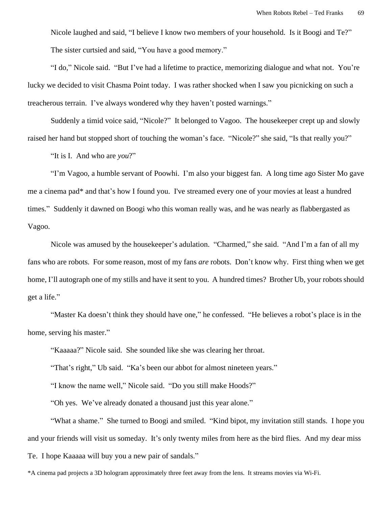Nicole laughed and said, "I believe I know two members of your household. Is it Boogi and Te?" The sister curtsied and said, "You have a good memory."

"I do," Nicole said. "But I've had a lifetime to practice, memorizing dialogue and what not. You're lucky we decided to visit Chasma Point today. I was rather shocked when I saw you picnicking on such a treacherous terrain. I've always wondered why they haven't posted warnings."

Suddenly a timid voice said, "Nicole?" It belonged to Vagoo. The housekeeper crept up and slowly raised her hand but stopped short of touching the woman's face. "Nicole?" she said, "Is that really you?"

"It is I. And who are *you*?"

"I'm Vagoo, a humble servant of Poowhi. I'm also your biggest fan. A long time ago Sister Mo gave me a cinema pad\* and that's how I found you. I've streamed every one of your movies at least a hundred times." Suddenly it dawned on Boogi who this woman really was, and he was nearly as flabbergasted as Vagoo.

Nicole was amused by the housekeeper's adulation. "Charmed," she said. "And I'm a fan of all my fans who are robots. For some reason, most of my fans *are* robots. Don't know why. First thing when we get home, I'll autograph one of my stills and have it sent to you. A hundred times? Brother Ub, your robots should get a life."

"Master Ka doesn't think they should have one," he confessed. "He believes a robot's place is in the home, serving his master."

"Kaaaaa?" Nicole said. She sounded like she was clearing her throat.

"That's right," Ub said. "Ka's been our abbot for almost nineteen years."

"I know the name well," Nicole said. "Do you still make Hoods?"

"Oh yes. We've already donated a thousand just this year alone."

"What a shame." She turned to Boogi and smiled. "Kind bipot, my invitation still stands. I hope you and your friends will visit us someday. It's only twenty miles from here as the bird flies. And my dear miss Te. I hope Kaaaaa will buy you a new pair of sandals."

<sup>\*</sup>A cinema pad projects a 3D hologram approximately three feet away from the lens. It streams movies via Wi-Fi.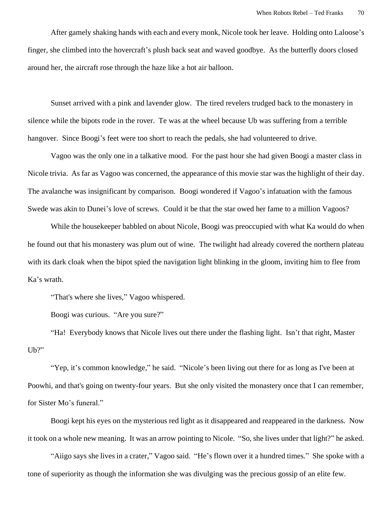After gamely shaking hands with each and every monk, Nicole took her leave. Holding onto Laloose's finger, she climbed into the hovercraft's plush back seat and waved goodbye. As the butterfly doors closed around her, the aircraft rose through the haze like a hot air balloon.

Sunset arrived with a pink and lavender glow. The tired revelers trudged back to the monastery in silence while the bipots rode in the rover. Te was at the wheel because Ub was suffering from a terrible hangover. Since Boogi's feet were too short to reach the pedals, she had volunteered to drive.

Vagoo was the only one in a talkative mood. For the past hour she had given Boogi a master class in Nicole trivia. As far as Vagoo was concerned, the appearance of this movie star was the highlight of their day. The avalanche was insignificant by comparison. Boogi wondered if Vagoo's infatuation with the famous Swede was akin to Dunei's love of screws. Could it be that the star owed her fame to a million Vagoos?

While the housekeeper babbled on about Nicole, Boogi was preoccupied with what Ka would do when he found out that his monastery was plum out of wine. The twilight had already covered the northern plateau with its dark cloak when the bipot spied the navigation light blinking in the gloom, inviting him to flee from Ka's wrath.

"That's where she lives," Vagoo whispered.

Boogi was curious. "Are you sure?"

"Ha! Everybody knows that Nicole lives out there under the flashing light. Isn't that right, Master U<sub>b</sub>?"

"Yep, it's common knowledge," he said. "Nicole's been living out there for as long as I've been at Poowhi, and that's going on twenty-four years. But she only visited the monastery once that I can remember, for Sister Mo's funeral."

Boogi kept his eyes on the mysterious red light as it disappeared and reappeared in the darkness. Now it took on a whole new meaning. It was an arrow pointing to Nicole. "So, she lives under that light?" he asked.

"Aiigo says she lives in a crater," Vagoo said. "He's flown over it a hundred times." She spoke with a tone of superiority as though the information she was divulging was the precious gossip of an elite few.